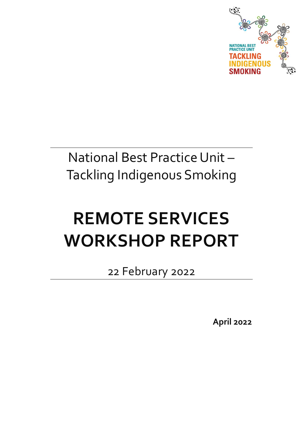

## National Best Practice Unit – Tackling Indigenous Smoking

# **REMOTE SERVICES WORKSHOP REPORT**

22 February 2022

**April 2022**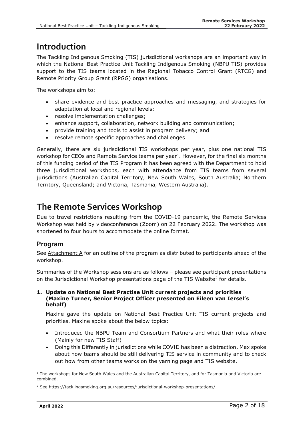## **Introduction**

The Tackling Indigenous Smoking (TIS) jurisdictional workshops are an important way in which the National Best Practice Unit Tackling Indigenous Smoking (NBPU TIS) provides support to the TIS teams located in the Regional Tobacco Control Grant (RTCG) and Remote Priority Group Grant (RPGG) organisations.

The workshops aim to:

- share evidence and best practice approaches and messaging, and strategies for adaptation at local and regional levels;
- resolve implementation challenges;
- enhance support, collaboration, network building and communication;
- provide training and tools to assist in program delivery; and
- resolve remote specific approaches and challenges

Generally, there are six jurisdictional TIS workshops per year, plus one national TIS workshop for CEOs and Remote Service teams per year<sup>1</sup>. However, for the final six months of this funding period of the TIS Program it has been agreed with the Department to hold three jurisdictional workshops, each with attendance from TIS teams from several jurisdictions (Australian Capital Territory, New South Wales, South Australia; Northern Territory, Queensland; and Victoria, Tasmania, Western Australia).

## **The Remote Services Workshop**

Due to travel restrictions resulting from the COVID-19 pandemic, the Remote Services Workshop was held by videoconference (Zoom) on 22 February 2022. The workshop was shortened to four hours to accommodate the online format.

#### **Program**

See  $Attachment A$  for an outline of the program as distributed to participants ahead of the</u> workshop.

Summaries of the Workshop sessions are as follows – please see participant presentations on the Jurisdictional Workshop presentations page of the TIS Website<sup>2</sup> for details.

#### **1. Update on National Best Practise Unit current projects and priorities (Maxine Turner, Senior Project Officer presented on Eileen van Iersel's behalf)**

Maxine gave the update on National Best Practice Unit TIS current projects and priorities. Maxine spoke about the below topics:

- Introduced the NBPU Team and Consortium Partners and what their roles where (Mainly for new TIS Staff)
- Doing this Differently in jurisdictions while COVID has been a distraction, Max spoke about how teams should be still delivering TIS service in community and to check out how from other teams works on the yarning page and TIS website.

 $<sup>1</sup>$  The workshops for New South Wales and the Australian Capital Territory, and for Tasmania and Victoria are</sup> combined.

<sup>&</sup>lt;sup>2</sup> See [https://tacklingsmoking.org.au/resources/jurisdictional-workshop-presentations/.](https://tacklingsmoking.org.au/resources/jurisdictional-workshop-presentations/)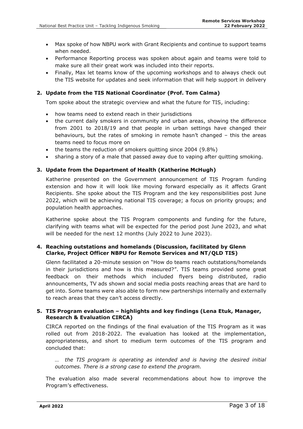- Max spoke of how NBPU work with Grant Recipients and continue to support teams when needed.
- Performance Reporting process was spoken about again and teams were told to make sure all their great work was included into their reports.
- Finally, Max let teams know of the upcoming workshops and to always check out the TIS website for updates and seek information that will help support in delivery

#### **2. Update from the TIS National Coordinator (Prof. Tom Calma)**

Tom spoke about the strategic overview and what the future for TIS, including:

- how teams need to extend reach in their jurisdictions
- the current daily smokers in community and urban areas, showing the difference from 2001 to 2018/19 and that people in urban settings have changed their behaviours, but the rates of smoking in remote hasn't changed – this the areas teams need to focus more on
- the teams the reduction of smokers quitting since 2004 (9.8%)
- sharing a story of a male that passed away due to vaping after quitting smoking.

#### **3. Update from the Department of Health (Katherine McHugh)**

Katherine presented on the Government announcement of TIS Program funding extension and how it will look like moving forward especially as it affects Grant Recipients. She spoke about the TIS Program and the key responsibilities post June 2022, which will be achieving national TIS coverage; a focus on priority groups; and population health approaches.

Katherine spoke about the TIS Program components and funding for the future, clarifying with teams what will be expected for the period post June 2023, and what will be needed for the next 12 months (July 2022 to June 2023).

#### **4. Reaching outstations and homelands (Discussion, facilitated by Glenn Clarke, Project Officer NBPU for Remote Services and NT/QLD TIS)**

Glenn facilitated a 20-minute session on "How do teams reach outstations/homelands in their jurisdictions and how is this measured?". TIS teams provided some great feedback on their methods which included flyers being distributed, radio announcements, TV ads shown and social media posts reaching areas that are hard to get into. Some teams were also able to form new partnerships internally and externally to reach areas that they can't access directly.

#### **5. TIS Program evaluation – highlights and key findings (Lena Etuk, Manager, Research & Evaluation CIRCA)**

CIRCA reported on the findings of the final evaluation of the TIS Program as it was rolled out from 2018-2022. The evaluation has looked at the implementation, appropriateness, and short to medium term outcomes of the TIS program and concluded that:

*… the TIS program is operating as intended and is having the desired initial outcomes. There is a strong case to extend the program.* 

The evaluation also made several recommendations about how to improve the Program's effectiveness.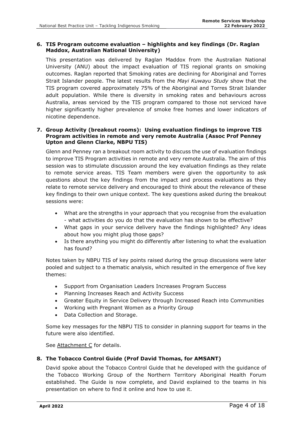#### **6. TIS Program outcome evaluation – highlights and key findings (Dr. Raglan Maddox, Australian National University)**

This presentation was delivered by Raglan Maddox from the Australian National University (ANU) about the impact evaluation of TIS regional grants on smoking outcomes. Raglan reported that Smoking rates are declining for Aboriginal and Torres Strait Islander people. The latest results from the *Mayi Kuwayu Study* show that the TIS program covered approximately 75% of the Aboriginal and Torres Strait Islander adult population. While there is diversity in smoking rates and behaviours across Australia, areas serviced by the TIS program compared to those not serviced have higher significantly higher prevalence of smoke free homes and lower indicators of nicotine dependence.

#### **7. Group Activity (breakout rooms): Using evaluation findings to improve TIS Program activities in remote and very remote Australia (Assoc Prof Penney Upton and Glenn Clarke, NBPU TIS)**

Glenn and Penney ran a breakout room activity to discuss the use of evaluation findings to improve TIS Program activities in remote and very remote Australia. The aim of this session was to stimulate discussion around the key evaluation findings as they relate to remote service areas. TIS Team members were given the opportunity to ask questions about the key findings from the impact and process evaluations as they relate to remote service delivery and encouraged to think about the relevance of these key findings to their own unique context. The key questions asked during the breakout sessions were:

- What are the strengths in your approach that you recognise from the evaluation - what activities do you do that the evaluation has shown to be effective?
- What gaps in your service delivery have the findings highlighted? Any ideas about how you might plug those gaps?
- Is there anything you might do differently after listening to what the evaluation has found?

Notes taken by NBPU TIS of key points raised during the group discussions were later pooled and subject to a thematic analysis, which resulted in the emergence of five key themes:

- Support from Organisation Leaders Increases Program Success
- Planning Increases Reach and Activity Success
- Greater Equity in Service Delivery through Increased Reach into Communities
- Working with Pregnant Women as a Priority Group
- Data Collection and Storage.

Some key messages for the NBPU TIS to consider in planning support for teams in the future were also identified.

See Attachment C for details.

#### **8. The Tobacco Control Guide (Prof David Thomas, for AMSANT)**

David spoke about the Tobacco Control Guide that he developed with the guidance of the Tobacco Working Group of the Northern Territory Aboriginal Health Forum established. The Guide is now complete, and David explained to the teams in his presentation on where to find it online and how to use it.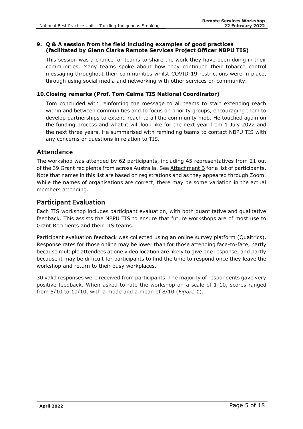#### **9. Q & A session from the field including examples of good practices (facilitated by Glenn Clarke Remote Services Project Officer NBPU TIS)**

This session was a chance for teams to share the work they have been doing in their communities. Many teams spoke about how they continued their tobacco control messaging throughout their communities whilst COVID-19 restrictions were in place, through using social media and networking with other services on community.

#### **10.Closing remarks (Prof. Tom Calma TIS National Coordinator)**

Tom concluded with reinforcing the message to all teams to start extending reach within and between communities and to focus on priority groups, encouraging them to develop partnerships to extend reach to all the community mob. He touched again on the funding process and what it will look like for the next year from 1 July 2022 and the next three years. He summarised with reminding teams to contact NBPU TIS with any concerns or questions in relation to TIS.

#### **Attendance**

The workshop was attended by 62 participants, including 45 representatives from 21 out of the 39 Grant recipients from across Australia. See Attachment B for a list of participants. Note that names in this list are based on registrations and as they appeared through Zoom. While the names of organisations are correct, there may be some variation in the actual members attending.

#### **Participant Evaluation**

Each TIS workshop includes participant evaluation, with both quantitative and qualitative feedback. This assists the NBPU TIS to ensure that future workshops are of most use to Grant Recipients and their TIS teams.

Participant evaluation feedback was collected using an online survey platform (Qualtrics). Response rates for those online may be lower than for those attending face-to-face, partly because multiple attendees at one video location are likely to give one response, and partly because it may be difficult for participants to find the time to respond once they leave the workshop and return to their busy workplaces.

30 valid responses were received from participants. The majority of respondents gave very positive feedback. When asked to rate the workshop on a scale of 1-10, scores ranged from 5/10 to 10/10, with a mode and a mean of 8/10 (*Figure 1*).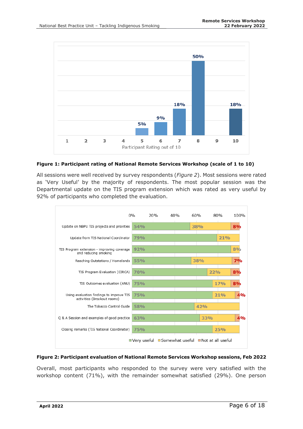

#### **Figure 1: Participant rating of National Remote Services Workshop (scale of 1 to 10)**

All sessions were well received by survey respondents (*Figure 2*). Most sessions were rated as 'Very Useful' by the majority of respondents. The most popular session was the Departmental update on the TIS program extension which was rated as very useful by 92% of participants who completed the evaluation.



#### **Figure 2: Participant evaluation of National Remote Services Workshop sessions, Feb 2022**

Overall, most participants who responded to the survey were very satisfied with the workshop content (71%), with the remainder somewhat satisfied (29%). One person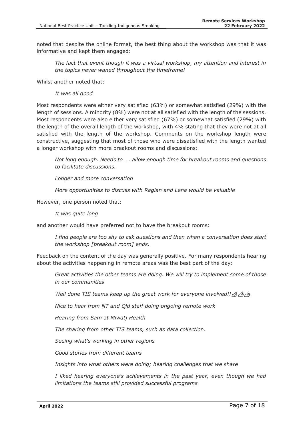noted that despite the online format, the best thing about the workshop was that it was informative and kept them engaged:

*The fact that event though it was a virtual workshop, my attention and interest in the topics never waned throughout the timeframe!*

Whilst another noted that:

*It was all good*

Most respondents were either very satisfied (63%) or somewhat satisfied (29%) with the length of sessions. A minority (8%) were not at all satisfied with the length of the sessions. Most respondents were also either very satisfied (67%) or somewhat satisfied (29%) with the length of the overall length of the workshop, with 4% stating that they were not at all satisfied with the length of the workshop. Comments on the workshop length were constructive, suggesting that most of those who were dissatisfied with the length wanted a longer workshop with more breakout rooms and discussions:

*Not long enough. Needs to …. allow enough time for breakout rooms and questions to facilitate discussions.* 

*Longer and more conversation*

*More opportunities to discuss with Raglan and Lena would be valuable*

However, one person noted that:

*It was quite long*

and another would have preferred not to have the breakout rooms:

*I find people are too shy to ask questions and then when a conversation does start the workshop [breakout room] ends.*

Feedback on the content of the day was generally positive. For many respondents hearing about the activities happening in remote areas was the best part of the day:

*Great activities the other teams are doing. We will try to implement some of those in our communities*

*Well done TIS teams keep up the great work for everyone involved!! <a>
d>
d>* 

*Nice to hear from NT and Qld staff doing ongoing remote work*

*Hearing from Sam at Miwatj Health*

*The sharing from other TIS teams, such as data collection.*

*Seeing what's working in other regions*

*Good stories from different teams*

*Insights into what others were doing; hearing challenges that we share*

*I liked hearing everyone's achievements in the past year, even though we had limitations the teams still provided successful programs*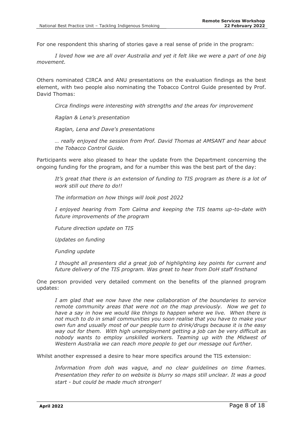For one respondent this sharing of stories gave a real sense of pride in the program:

*I loved how we are all over Australia and yet it felt like we were a part of one big movement.*

Others nominated CIRCA and ANU presentations on the evaluation findings as the best element, with two people also nominating the Tobacco Control Guide presented by Prof. David Thomas:

*Circa findings were interesting with strengths and the areas for improvement*

*Raglan & Lena's presentation*

*Raglan, Lena and Dave's presentations*

*… really enjoyed the session from Prof. David Thomas at AMSANT and hear about the Tobacco Control Guide.*

Participants were also pleased to hear the update from the Department concerning the ongoing funding for the program, and for a number this was the best part of the day:

*It's great that there is an extension of funding to TIS program as there is a lot of work still out there to do!!*

*The information on how things will look post 2022*

*I enjoyed hearing from Tom Calma and keeping the TIS teams up-to-date with future improvements of the program*

*Future direction update on TIS*

*Updates on funding*

*Funding update*

*I thought all presenters did a great job of highlighting key points for current and future delivery of the TIS program. Was great to hear from DoH staff firsthand* 

One person provided very detailed comment on the benefits of the planned program updates:

*I am glad that we now have the new collaboration of the boundaries to service remote community areas that were not on the map previously. Now we get to have a say in how we would like things to happen where we live. When there is not much to do in small communities you soon realise that you have to make your own fun and usually most of our people turn to drink/drugs because it is the easy way out for them. With high unemployment getting a job can be very difficult as nobody wants to employ unskilled workers. Teaming up with the Midwest of Western Australia we can reach more people to get our message out further.*

Whilst another expressed a desire to hear more specifics around the TIS extension:

*Information from doh was vague, and no clear guidelines on time frames. Presentation they refer to on website is blurry so maps still unclear. It was a good start - but could be made much stronger!*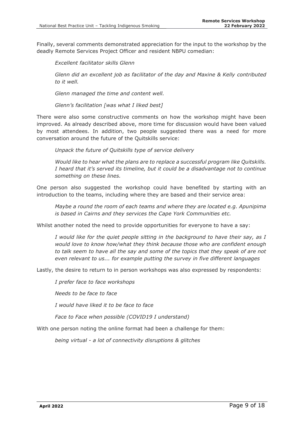Finally, several comments demonstrated appreciation for the input to the workshop by the deadly Remote Services Project Officer and resident NBPU comedian:

*Excellent facilitator skills Glenn*

*Glenn did an excellent job as facilitator of the day and Maxine & Kelly contributed to it well.*

*Glenn managed the time and content well.*

*Glenn's facilitation [was what I liked best]*

There were also some constructive comments on how the workshop might have been improved. As already described above, more time for discussion would have been valued by most attendees. In addition, two people suggested there was a need for more conversation around the future of the Quitskills service:

*Unpack the future of Quitskills type of service delivery*

*Would like to hear what the plans are to replace a successful program like Quitskills. I heard that it's served its timeline, but it could be a disadvantage not to continue something on these lines.*

One person also suggested the workshop could have benefited by starting with an introduction to the teams, including where they are based and their service area:

*Maybe a round the room of each teams and where they are located e.g. Apunipima is based in Cairns and they services the Cape York Communities etc.*

Whilst another noted the need to provide opportunities for everyone to have a say:

*I would like for the quiet people sitting in the background to have their say, as I would love to know how/what they think because those who are confident enough to talk seem to have all the say and some of the topics that they speak of are not even relevant to us... for example putting the survey in five different languages*

Lastly, the desire to return to in person workshops was also expressed by respondents:

*I prefer face to face workshops*

*Needs to be face to face* 

*I would have liked it to be face to face*

*Face to Face when possible (COVID19 I understand)*

With one person noting the online format had been a challenge for them:

*being virtual - a lot of connectivity disruptions & glitches*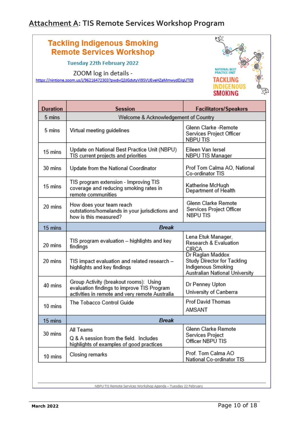## **Attachment A: TIS Remote Services Workshop Program**

### **Tackling Indigenous Smoking Remote Services Workshop**

**Tuesday 22th February 2022** 

ZOOM log in details -

https://nintione.zoom.us/j/96216472303?pwd=Q3JGdytyVi9SVUEveHZaMmwydDJqUT09



| <b>Duration</b> | <b>Session</b>                                                                                                                         | <b>Facilitators/Speakers</b>                                                                            |  |  |  |
|-----------------|----------------------------------------------------------------------------------------------------------------------------------------|---------------------------------------------------------------------------------------------------------|--|--|--|
| 5 mins          | Welcome & Acknowledgement of Country                                                                                                   |                                                                                                         |  |  |  |
| 5 mins          | Glenn Clarke -Remote<br>Virtual meeting guidelines<br>Services Project Officer<br>NBPU TIS                                             |                                                                                                         |  |  |  |
| 15 mins         | Update on National Best Practice Unit (NBPU)<br>Eileen Van Iersel<br>TIS current projects and priorities<br>NBPU TIS Manager           |                                                                                                         |  |  |  |
| 30 mins         | Update from the National Coordinator                                                                                                   | Prof Tom Calma AO, National<br>Co-ordinator TIS                                                         |  |  |  |
| 15 mins         | TIS program extension - Improving TIS<br>coverage and reducing smoking rates in<br>remote communities                                  | Katherine McHugh<br>Department of Health                                                                |  |  |  |
| 20 mins         | How does your team reach<br>outstations/homelands in your jurisdictions and<br>how is this measured?                                   | Glenn Clarke Remote<br>Services Project Officer<br><b>NBPUTIS</b>                                       |  |  |  |
| 15 mins         | <b>Break</b>                                                                                                                           |                                                                                                         |  |  |  |
| 20 mins         | TIS program evaluation - highlights and key<br>findings                                                                                | Lena Etuk Manager,<br>Research & Evaluation<br><b>CIRCA</b>                                             |  |  |  |
| 20 mins         | TIS impact evaluation and related research -<br>highlights and key findings                                                            | Dr Raglan Maddox<br>Study Director for Tackling<br>Indigenous Smoking<br>Australian National University |  |  |  |
| 40 mins         | Group Activity (breakout rooms): Using<br>evaluation findings to improve TIS Program<br>activities in remote and very remote Australia | Dr Penney Upton<br>University of Canberra                                                               |  |  |  |
| 10 mins         | The Tobacco Control Guide                                                                                                              | <b>Prof David Thomas</b><br>AMSANT                                                                      |  |  |  |
| 15 mins         | <b>Break</b>                                                                                                                           |                                                                                                         |  |  |  |
| 30 mins         | All Teams<br>Q & A session from the field. Includes<br>highlights of examples of good practices                                        | Glenn Clarke Remote<br>Services Project<br>Officer NBPU TIS                                             |  |  |  |
| 10 mins         | Closing remarks                                                                                                                        | Prof. Tom Calma AO<br>National Co-ordinator TIS                                                         |  |  |  |

NBPU TIS Remote Services Workshop Agenda - Tuesday 22 February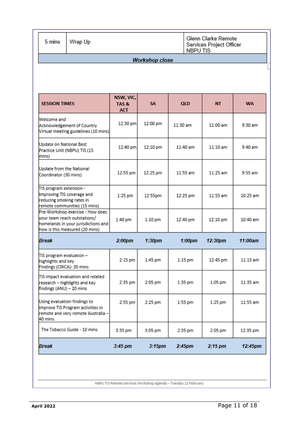| 5 mins                                                                             | Glenn Clarke Remote<br>Wrap Up<br>Services Project Officer<br>NBPU TIS                                                                    |                                 |                       |                    |            |            |
|------------------------------------------------------------------------------------|-------------------------------------------------------------------------------------------------------------------------------------------|---------------------------------|-----------------------|--------------------|------------|------------|
|                                                                                    |                                                                                                                                           |                                 | <b>Workshop close</b> |                    |            |            |
|                                                                                    |                                                                                                                                           |                                 |                       |                    |            |            |
| <b>SESSION TIMES</b>                                                               |                                                                                                                                           | NSW, VIC,<br>TAS&<br><b>ACT</b> | SA                    | <b>QLD</b>         | <b>NT</b>  | <b>WA</b>  |
| Welcome and                                                                        | Acknowledgement of Country<br>Virtual meeting guidelines (10 mins)                                                                        | 12:30 pm                        | 12:00 pm              | 11:30 am           | 11:00 am   | 9:30 am    |
| Update on National Best<br>Practice Unit (NBPU) TIS (15<br>mins)                   |                                                                                                                                           | 12:40 pm                        | 12:10 pm              | 11:40 am           | $11:10$ am | 9:40 am    |
| Update from the National<br>Coordinator (30 mins)                                  |                                                                                                                                           | 12:55 pm                        | 12:25 pm              | $11:55$ am         | $11:25$ am | $9:55$ am  |
| TIS program extension -<br>Improving TIS coverage and<br>reducing smoking rates in | remote communities (15 mins)                                                                                                              | 1:25 pm                         | 12:55pm               | 12:25 pm           | 11:55 am   | 10:25 am   |
|                                                                                    | Pre-Workshop exercise - How does<br>vour team reach outstations/<br>homelands in your jurisdictions and<br>how is this measured (20 mins) | 1:40 pm                         | $1:10$ pm             | 12:40 pm           | 12:10 pm   | 10:40 am   |
| <b>Break</b>                                                                       |                                                                                                                                           | 2:00 <sub>pm</sub>              | 1:30 <sub>pm</sub>    | $1:00$ pm          | 12:30pm    | 11:00am    |
| TIS program evaluation -<br>highlights and key<br>Findings (CIRCA)- 20 mins        |                                                                                                                                           | 2:15 pm                         | 1:45 pm               | 1:15 pm            | 12:45 pm   | $11:15$ am |
| findings (ANU) - 20 mins                                                           | TIS impact evaluation and related<br>research – highlights and key                                                                        | 2:35 pm                         | 2:05 pm               | 1:35 pm            | 1:05 pm    | 11:35 am   |
| 40 mins                                                                            | Using evaluation findings to<br>improve TIS Program activities in<br>remote and very remote Australia -                                   | 2:55 pm                         | 2:25 pm               | 1:55 pm            | 1:25 pm    | 11:55 am   |
|                                                                                    | The Tobacco Guide - 10 mins                                                                                                               | 3:35 pm                         | 3:05 pm               | 2:35 pm            | 2:05 pm    | 12:35 pm   |
| Break                                                                              |                                                                                                                                           | 3:45 pm                         | 3:15 <sub>pm</sub>    | 2:45 <sub>pm</sub> | $2:15$ pm  | 12:45pm    |
|                                                                                    |                                                                                                                                           |                                 |                       |                    |            |            |

NBPU TIS Remote Services Workshop Agenda - Tuesday 22 February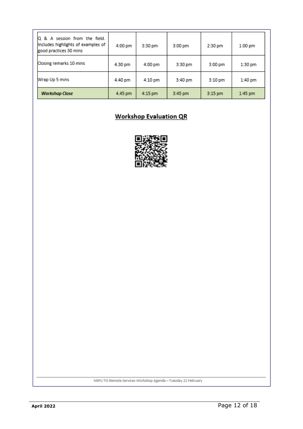| Q & A session from the field.<br>Includes highlights of examples of<br>good practices 30 mins | 4:00 pm | 3:30 pm | 3:00 pm | 2:30 pm   | 1:00 pm   |
|-----------------------------------------------------------------------------------------------|---------|---------|---------|-----------|-----------|
| Closing remarks 10 mins                                                                       | 4.30 pm | 4:00 pm | 3:30 pm | 3:00 pm   | 1:30 pm   |
| Wrap Up 5 mins                                                                                | 4.40 pm | 4:10 pm | 3:40 pm | $3:10$ pm | 1:40 pm   |
| <b>Workshop Close</b>                                                                         | 4.45 pm | 4:15 pm | 3:45 pm | 3:15 pm   | $1:45$ pm |

## **Workshop Evaluation QR**



NBPU TIS Remote Services Workshop Agenda - Tuesday 22 February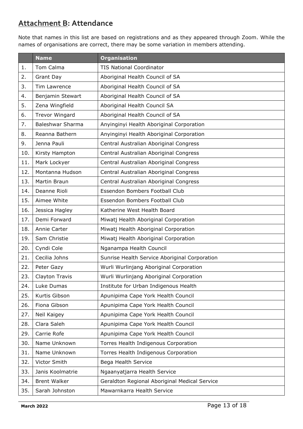## **Attachment B: Attendance**

Note that names in this list are based on registrations and as they appeared through Zoom. While the names of organisations are correct, there may be some variation in members attending.

|     | <b>Name</b>             | <b>Organisation</b>                           |  |
|-----|-------------------------|-----------------------------------------------|--|
| 1.  | Tom Calma               | <b>TIS National Coordinator</b>               |  |
| 2.  | Grant Day               | Aboriginal Health Council of SA               |  |
| 3.  | Tim Lawrence            | Aboriginal Health Council of SA               |  |
| 4.  | Benjamin Stewart        | Aboriginal Health Council of SA               |  |
| 5.  | Zena Wingfield          | Aboriginal Health Council SA                  |  |
| 6.  | <b>Trevor Wingard</b>   | Aboriginal Health Council of SA               |  |
| 7.  | <b>Baleshwar Sharma</b> | Anyinginyi Health Aboriginal Corporation      |  |
| 8.  | Reanna Bathern          | Anyinginyi Health Aboriginal Corporation      |  |
| 9.  | Jenna Pauli             | Central Australian Aboriginal Congress        |  |
| 10. | Kirsty Hampton          | Central Australian Aboriginal Congress        |  |
| 11. | Mark Lockyer            | Central Australian Aboriginal Congress        |  |
| 12. | Montanna Hudson         | Central Australian Aboriginal Congress        |  |
| 13. | Martin Braun            | Central Australian Aboriginal Congress        |  |
| 14. | Deanne Rioli            | Essendon Bombers Football Club                |  |
| 15. | Aimee White             | Essendon Bombers Football Club                |  |
| 16. | Jessica Hagley          | Katherine West Health Board                   |  |
| 17. | Demi Forward            | Miwatj Health Aboriginal Corporation          |  |
| 18. | Annie Carter            | Miwatj Health Aboriginal Corporation          |  |
| 19. | Sam Christie            | Miwatj Health Aboriginal Corporation          |  |
| 20. | Cyndi Cole              | Nganampa Health Council                       |  |
| 21. | Cecilia Johns           | Sunrise Health Service Aboriginal Corporation |  |
| 22. | Peter Gazy              | Wurli Wurlinjang Aboriginal Corporation       |  |
| 23. | Clayton Travis          | Wurli Wurlinjang Aboriginal Corporation       |  |
| 24. | Luke Dumas              | Institute for Urban Indigenous Health         |  |
| 25. | Kurtis Gibson           | Apunipima Cape York Health Council            |  |
| 26. | Fiona Gibson            | Apunipima Cape York Health Council            |  |
| 27. | Neil Kaigey             | Apunipima Cape York Health Council            |  |
| 28. | Clara Saleh             | Apunipima Cape York Health Council            |  |
| 29. | Carrie Rofe             | Apunipima Cape York Health Council            |  |
| 30. | Name Unknown            | Torres Health Indigenous Corporation          |  |
| 31. | Name Unknown            | Torres Health Indigenous Corporation          |  |
| 32. | Victor Smith            | Bega Health Service                           |  |
| 33. | Janis Koolmatrie        | Ngaanyatjarra Health Service                  |  |
| 34. | <b>Brent Walker</b>     | Geraldton Regional Aboriginal Medical Service |  |
| 35. | Sarah Johnston          | Mawarnkarra Health Service                    |  |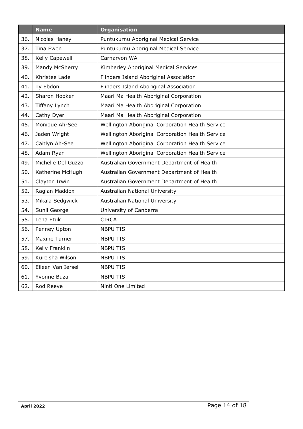|     | <b>Name</b>          | <b>Organisation</b>                              |
|-----|----------------------|--------------------------------------------------|
| 36. | Nicolas Haney        | Puntukurnu Aboriginal Medical Service            |
| 37. | Tina Ewen            | Puntukurnu Aboriginal Medical Service            |
| 38. | Kelly Capewell       | Carnarvon WA                                     |
| 39. | Mandy McSherry       | Kimberley Aboriginal Medical Services            |
| 40. | Khristee Lade        | Flinders Island Aboriginal Association           |
| 41. | Ty Ebdon             | Flinders Island Aboriginal Association           |
| 42. | Sharon Hooker        | Maari Ma Health Aboriginal Corporation           |
| 43. | <b>Tiffany Lynch</b> | Maari Ma Health Aboriginal Corporation           |
| 44. | Cathy Dyer           | Maari Ma Health Aboriginal Corporation           |
| 45. | Monique Ah-See       | Wellington Aboriginal Corporation Health Service |
| 46. | Jaden Wright         | Wellington Aboriginal Corporation Health Service |
| 47. | Caitlyn Ah-See       | Wellington Aboriginal Corporation Health Service |
| 48. | Adam Ryan            | Wellington Aboriginal Corporation Health Service |
| 49. | Michelle Del Guzzo   | Australian Government Department of Health       |
| 50. | Katherine McHugh     | Australian Government Department of Health       |
| 51. | Clayton Irwin        | Australian Government Department of Health       |
| 52. | Raglan Maddox        | Australian National University                   |
| 53. | Mikala Sedgwick      | Australian National University                   |
| 54. | Sunil George         | University of Canberra                           |
| 55. | Lena Etuk            | <b>CIRCA</b>                                     |
| 56. | Penney Upton         | <b>NBPU TIS</b>                                  |
| 57. | <b>Maxine Turner</b> | <b>NBPU TIS</b>                                  |
| 58. | Kelly Franklin       | <b>NBPU TIS</b>                                  |
| 59. | Kureisha Wilson      | <b>NBPU TIS</b>                                  |
| 60. | Eileen Van Iersel    | <b>NBPU TIS</b>                                  |
| 61. | Yvonne Buza          | <b>NBPU TIS</b>                                  |
| 62. | Rod Reeve            | Ninti One Limited                                |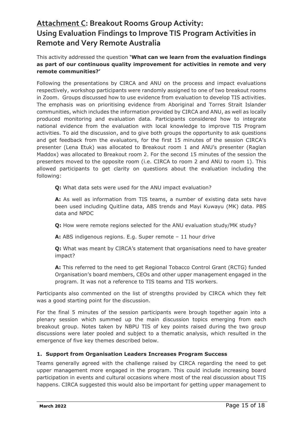## **Attachment C: Breakout Rooms Group Activity: Using Evaluation Findings to Improve TIS Program Activities in Remote and Very Remote Australia**

#### This activity addressed the question **'What can we learn from the evaluation findings as part of our continuous quality improvement for activities in remote and very remote communities?'**

Following the presentations by CIRCA and ANU on the process and impact evaluations respectively, workshop participants were randomly assigned to one of two breakout rooms in Zoom. Groups discussed how to use evidence from evaluation to develop TIS activities. The emphasis was on prioritising evidence from Aboriginal and Torres Strait Islander communities, which includes the information provided by CIRCA and ANU, as well as locally produced monitoring and evaluation data. Participants considered how to integrate national evidence from the evaluation with local knowledge to improve TIS Program activities. To aid the discussion, and to give both groups the opportunity to ask questions and get feedback from the evaluators, for the first 15 minutes of the session CIRCA's presenter (Lena Etuk) was allocated to Breakout room 1 and ANU's presenter (Raglan Maddox) was allocated to Breakout room 2. For the second 15 minutes of the session the presenters moved to the opposite room (i.e. CIRCA to room 2 and ANU to room 1). This allowed participants to get clarity on questions about the evaluation including the following:

**Q:** What data sets were used for the ANU impact evaluation?

**A:** As well as information from TIS teams, a number of existing data sets have been used including Quitline data, ABS trends and Mayi Kuwayu (MK) data. PBS data and NPDC

**Q:** How were remote regions selected for the ANU evaluation study/MK study?

**A:** ABS indigenous regions. E.g. Super remote – 11 hour drive

**Q:** What was meant by CIRCA's statement that organisations need to have greater impact?

**A:** This referred to the need to get Regional Tobacco Control Grant (RCTG) funded Organisation's board members, CEOs and other upper management engaged in the program. It was not a reference to TIS teams and TIS workers.

Participants also commented on the list of strengths provided by CIRCA which they felt was a good starting point for the discussion.

For the final 5 minutes of the session participants were brough together again into a plenary session which summed up the main discussion topics emerging from each breakout group. Notes taken by NBPU TIS of key points raised during the two group discussions were later pooled and subject to a thematic analysis, which resulted in the emergence of five key themes described below.

#### **1. Support from Organisation Leaders Increases Program Success**

Teams generally agreed with the challenge raised by CIRCA regarding the need to get upper management more engaged in the program. This could include increasing board participation in events and cultural occasions where most of the real discussion about TIS happens. CIRCA suggested this would also be important for getting upper management to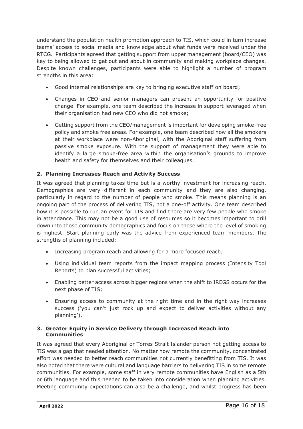understand the population health promotion approach to TIS, which could in turn increase teams' access to social media and knowledge about what funds were received under the RTCG. Participants agreed that getting support from upper management (board/CEO) was key to being allowed to get out and about in community and making workplace changes. Despite known challenges, participants were able to highlight a number of program strengths in this area:

- Good internal relationships are key to bringing executive staff on board;
- Changes in CEO and senior managers can present an opportunity for positive change. For example, one team described the increase in support leveraged when their organisation had new CEO who did not smoke;
- Getting support from the CEO/management is important for developing smoke-free policy and smoke free areas. For example, one team described how all the smokers at their workplace were non-Aboriginal, with the Aboriginal staff suffering from passive smoke exposure. With the support of management they were able to identify a large smoke-free area within the organisation's grounds to improve health and safety for themselves and their colleagues.

#### **2. Planning Increases Reach and Activity Success**

It was agreed that planning takes time but is a worthy investment for increasing reach. Demographics are very different in each community and they are also changing, particularly in regard to the number of people who smoke. This means planning is an ongoing part of the process of delivering TIS, not a one-off activity. One team described how it is possible to run an event for TIS and find there are very few people who smoke in attendance. This may not be a good use of resources so it becomes important to drill down into those community demographics and focus on those where the level of smoking is highest. Start planning early was the advice from experienced team members. The strengths of planning included:

- Increasing program reach and allowing for a more focused reach;
- Using individual team reports from the impact mapping process (Intensity Tool Reports) to plan successful activities;
- Enabling better access across bigger regions when the shift to IREGS occurs for the next phase of TIS;
- Ensuring access to community at the right time and in the right way increases success ('you can't just rock up and expect to deliver activities without any planning').

#### **3. Greater Equity in Service Delivery through Increased Reach into Communities**

It was agreed that every Aboriginal or Torres Strait Islander person not getting access to TIS was a gap that needed attention. No matter how remote the community, concentrated effort was needed to better reach communities not currently benefitting from TIS. It was also noted that there were cultural and language barriers to delivering TIS in some remote communities. For example, some staff in very remote communities have English as a 5th or 6th language and this needed to be taken into consideration when planning activities. Meeting community expectations can also be a challenge, and whilst progress has been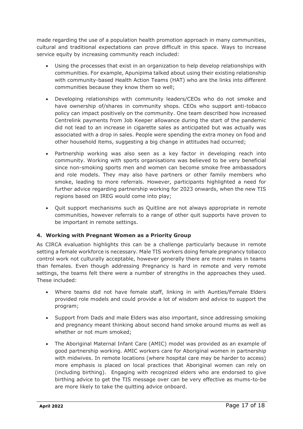made regarding the use of a population health promotion approach in many communities, cultural and traditional expectations can prove difficult in this space. Ways to increase service equity by increasing community reach included:

- Using the processes that exist in an organization to help develop relationships with communities. For example, Apunipima talked about using their existing relationship with community-based Health Action Teams (HAT) who are the links into different communities because they know them so well;
- Developing relationships with community leaders/CEOs who do not smoke and have ownership of/shares in community shops. CEOs who support anti-tobacco policy can impact positively on the community. One team described how increased Centrelink payments from Job Keeper allowance during the start of the pandemic did not lead to an increase in cigarette sales as anticipated but was actually was associated with a drop in sales. People were spending the extra money on food and other household items, suggesting a big change in attitudes had occurred;
- Partnership working was also seen as a key factor in developing reach into community. Working with sports organisations was believed to be very beneficial since non-smoking sports men and women can become smoke free ambassadors and role models. They may also have partners or other family members who smoke, leading to more referrals. However, participants highlighted a need for further advice regarding partnership working for 2023 onwards, when the new TIS regions based on IREG would come into play;
- Quit support mechanisms such as Quitline are not always appropriate in remote communities, however referrals to a range of other quit supports have proven to be important in remote settings.

#### **4. Working with Pregnant Women as a Priority Group**

As CIRCA evaluation highlights this can be a challenge particularly because in remote setting a female workforce is necessary. Male TIS workers doing female pregnancy tobacco control work not culturally acceptable, however generally there are more males in teams than females. Even though addressing Pregnancy is hard in remote and very remote settings, the teams felt there were a number of strengths in the approaches they used. These included:

- Where teams did not have female staff, linking in with Aunties/Female Elders provided role models and could provide a lot of wisdom and advice to support the program;
- Support from Dads and male Elders was also important, since addressing smoking and pregnancy meant thinking about second hand smoke around mums as well as whether or not mum smoked;
- The Aboriginal Maternal Infant Care (AMIC) model was provided as an example of good partnership working. AMIC workers care for Aboriginal women in partnership with midwives. In remote locations (where hospital care may be harder to access) more emphasis is placed on local practices that Aboriginal women can rely on (including birthing). Engaging with recognized elders who are endorsed to give birthing advice to get the TIS message over can be very effective as mums-to-be are more likely to take the quitting advice onboard.